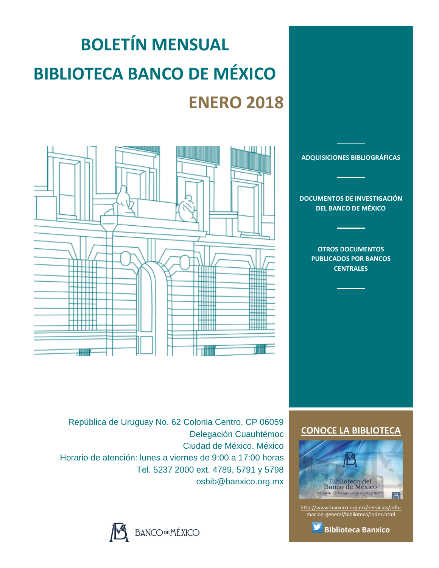# **BOLETÍN MENSUAL BIBLIOTECA BANCO DE MÉXICO ENERO 2018**



**[DOCUMENTOS DE INVESTIGACIÓN](#page-2-0)  [DEL BANCO DE MÉXICO](#page-2-0)**

**[ADQUISICIONES BIBLIOGRÁFICAS](#page-1-0)**

**[OTROS DOCUMENTOS](#page-3-0)  [PUBLICADOS POR BANCOS](#page-3-0)  [CENTRALES](#page-3-0)**

República de Uruguay No. 62 Colonia Centro, CP 06059 Delegación Cuauhtémoc Ciudad de México, México Horario de atención: lunes a viernes de 9:00 a 17:00 horas Tel. 5237 2000 ext. 4789, 5791 y 5798 osbib@banxico.org.mx



# **[CONOCE LA BIBLIOTECA](http://www.banxico.org.mx/servicios/informacion-general/biblioteca/index.html)**



[http://www.banxico.org.mx/servicios/infor](http://www.banxico.org.mx/servicios/informacion-general/biblioteca/index.html) [macion-general/biblioteca/index.html](http://www.banxico.org.mx/servicios/informacion-general/biblioteca/index.html)

**[Biblioteca Banxico](https://twitter.com/BiblioBanxico)**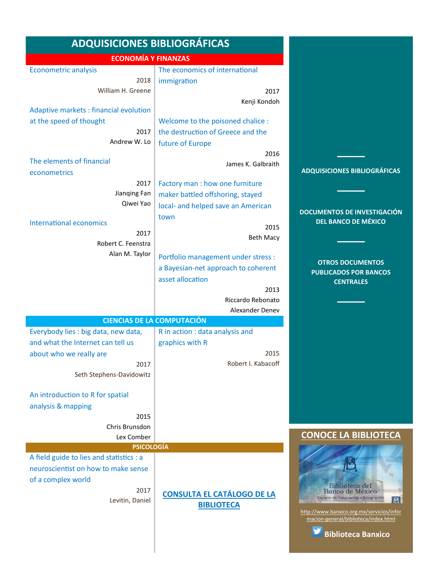<span id="page-1-0"></span>

| <b>ADQUISICIONES BIBLIOGRÁFICAS</b>                           |                                     |                                                                              |
|---------------------------------------------------------------|-------------------------------------|------------------------------------------------------------------------------|
| <b>ECONOMÍA Y FINANZAS</b>                                    |                                     |                                                                              |
| <b>Econometric analysis</b>                                   | The economics of international      |                                                                              |
| 2018                                                          | immigration                         |                                                                              |
| William H. Greene                                             | 2017                                |                                                                              |
|                                                               | Kenji Kondoh                        |                                                                              |
| Adaptive markets : financial evolution                        |                                     |                                                                              |
| at the speed of thought                                       | Welcome to the poisoned chalice :   |                                                                              |
| 2017                                                          | the destruction of Greece and the   |                                                                              |
| Andrew W. Lo                                                  | future of Europe                    |                                                                              |
|                                                               | 2016                                |                                                                              |
| The elements of financial                                     | James K. Galbraith                  |                                                                              |
| econometrics                                                  |                                     | <b>ADQUISICIONES BIBLIOGRÁFICAS</b>                                          |
| 2017                                                          | Factory man : how one furniture     |                                                                              |
| Jianqing Fan                                                  | maker battled offshoring, stayed    |                                                                              |
| Qiwei Yao                                                     | local- and helped save an American  | <b>DOCUMENTOS DE INVESTIGACIÓN</b>                                           |
| <b>International economics</b>                                | town                                | <b>DEL BANCO DE MÉXICO</b>                                                   |
| 2017                                                          | 2015                                |                                                                              |
| Robert C. Feenstra                                            | <b>Beth Macy</b>                    |                                                                              |
| Alan M. Taylor                                                | Portfolio management under stress : |                                                                              |
|                                                               | a Bayesian-net approach to coherent | <b>OTROS DOCUMENTOS</b>                                                      |
|                                                               | asset allocation                    | <b>PUBLICADOS POR BANCOS</b>                                                 |
|                                                               | 2013                                | <b>CENTRALES</b>                                                             |
|                                                               | Riccardo Rebonato                   |                                                                              |
|                                                               | Alexander Denev                     |                                                                              |
|                                                               | <b>CIENCIAS DE LA COMPUTACIÓN</b>   |                                                                              |
| Everybody lies : big data, new data,                          | R in action : data analysis and     |                                                                              |
| and what the Internet can tell us                             | graphics with R                     |                                                                              |
| about who we really are                                       | 2015                                |                                                                              |
| 2017                                                          | Robert I. Kabacoff                  |                                                                              |
| Seth Stephens-Davidowitz                                      |                                     |                                                                              |
|                                                               |                                     |                                                                              |
| An introduction to R for spatial                              |                                     |                                                                              |
| analysis & mapping                                            |                                     |                                                                              |
| 2015                                                          |                                     |                                                                              |
| Chris Brunsdon                                                |                                     |                                                                              |
| Lex Comber                                                    |                                     | <b>CONOCE LA BIBLIOTECA</b>                                                  |
| <b>PSICOLOGÍA</b><br>A field guide to lies and statistics : a |                                     |                                                                              |
| neuroscientist on how to make sense                           |                                     |                                                                              |
|                                                               |                                     |                                                                              |
| of a complex world<br>2017                                    |                                     | Biblioteca del                                                               |
|                                                               | <b>CONSULTA EL CATÁLOGO DE LA</b>   | Banco de México<br>Espacio de Vanguardia e Integración                       |
|                                                               | <b>BIBLIOTECA</b>                   |                                                                              |
|                                                               |                                     | macion-general/biblioteca/index.html                                         |
|                                                               |                                     |                                                                              |
| Levitin, Daniel                                               |                                     | B <br>http://www.banxico.org.mx/servicios/infor<br><b>Biblioteca Banxico</b> |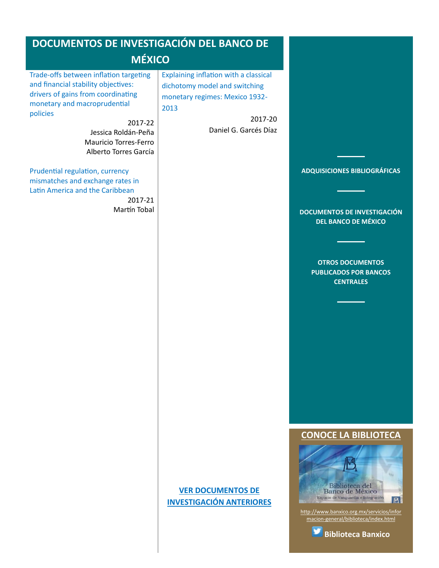# <span id="page-2-0"></span>**DOCUMENTOS DE INVESTIGACIÓN DEL BANCO DE**

# **MÉXICO**

[Trade-offs between inflation targeting](#page-10-0)  [and financial stability objectives:](#page-10-0)  [drivers of gains from coordinating](#page-10-0)  [monetary and macroprudential](#page-10-0)  [policies](#page-10-0)

> 2017-22 Jessica Roldán-Peña Mauricio Torres-Ferro Alberto Torres García

[Prudential regulation, currency](#page-10-0)  [mismatches and exchange rates in](#page-10-0)  [Latin America and the Caribbean](#page-10-0)

2017-21 Martín Tobal [Explaining inflation with a classical](#page-11-0)  [dichotomy model and switching](#page-11-0)  [monetary regimes: Mexico 1932-](#page-11-0) [2013](#page-11-0)

> 2017-20 Daniel G. Garcés Díaz



**[DOCUMENTOS DE INVESTIGACIÓN](#page-2-0)  [DEL BANCO DE MÉXICO](#page-2-0)**

**[OTROS DOCUMENTOS](#page-3-0)  [PUBLICADOS POR BANCOS](#page-3-0)  [CENTRALES](#page-3-0)**

#### **[CONOCE LA BIBLIOTECA](http://www.banxico.org.mx/servicios/informacion-general/biblioteca/index.html)**



[http://www.banxico.org.mx/servicios/infor](http://www.banxico.org.mx/servicios/informacion-general/biblioteca/index.html) [macion-general/biblioteca/index.html](http://www.banxico.org.mx/servicios/informacion-general/biblioteca/index.html)



# **[VER DOCUMENTOS DE](http://www.banxico.org.mx/viewers/JSP/docsInvestigacionAnio_es.jsp?static=y)  [INVESTIGACIÓN ANTERIORES](http://www.banxico.org.mx/viewers/JSP/docsInvestigacionAnio_es.jsp?static=y)**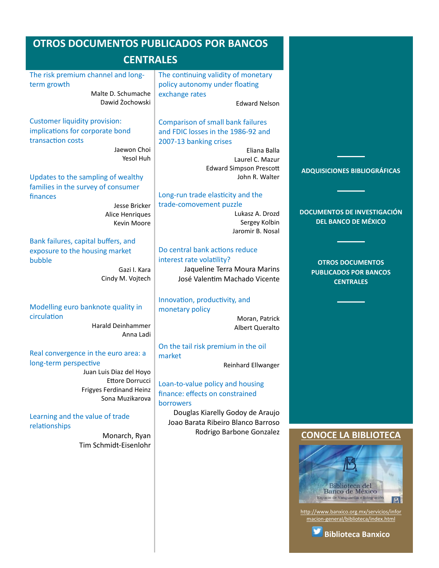<span id="page-3-0"></span>

| <b>OTROS DOCUMENTOS PUBLICADOS POR BANCOS</b><br><b>CENTRALES</b>                                                                                                                                                                                                   |                                                                                                                                                                                                                                                                                                     |                                                                                                              |
|---------------------------------------------------------------------------------------------------------------------------------------------------------------------------------------------------------------------------------------------------------------------|-----------------------------------------------------------------------------------------------------------------------------------------------------------------------------------------------------------------------------------------------------------------------------------------------------|--------------------------------------------------------------------------------------------------------------|
| The risk premium channel and long-<br>term growth<br>Malte D. Schumache<br>Dawid Żochowski                                                                                                                                                                          | The continuing validity of monetary<br>policy autonomy under floating<br>exchange rates<br><b>Edward Nelson</b>                                                                                                                                                                                     |                                                                                                              |
| <b>Customer liquidity provision:</b><br>implications for corporate bond<br>transaction costs<br>Jaewon Choi<br>Yesol Huh<br>Updates to the sampling of wealthy<br>families in the survey of consumer<br>finances<br>Jesse Bricker<br>Alice Henriques<br>Kevin Moore | <b>Comparison of small bank failures</b><br>and FDIC losses in the 1986-92 and<br>2007-13 banking crises<br>Eliana Balla<br>Laurel C. Mazur<br><b>Edward Simpson Prescott</b><br>John R. Walter<br>Long-run trade elasticity and the<br>trade-comovement puzzle<br>Lukasz A. Drozd<br>Sergey Kolbin | <b>ADQUISICIONES BIBLIOGRÁFICAS</b><br><b>DOCUMENTOS DE INVESTIGACIÓN</b><br><b>DEL BANCO DE MÉXICO</b>      |
| Bank failures, capital buffers, and<br>exposure to the housing market<br>bubble<br>Gazi I. Kara<br>Cindy M. Vojtech                                                                                                                                                 | Jaromir B. Nosal<br>Do central bank actions reduce<br>interest rate volatility?<br>Jaqueline Terra Moura Marins<br>José Valentim Machado Vicente                                                                                                                                                    | <b>OTROS DOCUMENTOS</b><br><b>PUBLICADOS POR BANCOS</b><br><b>CENTRALES</b>                                  |
| Modelling euro banknote quality in<br>circulation<br><b>Harald Deinhammer</b><br>Anna Ladi                                                                                                                                                                          | Innovation, productivity, and<br>monetary policy<br>Moran, Patrick<br>Albert Queralto                                                                                                                                                                                                               |                                                                                                              |
| Real convergence in the euro area: a<br>long-term perspective<br>Juan Luis Diaz del Hoyo<br>Ettore Dorrucci<br><b>Frigyes Ferdinand Heinz</b><br>Sona Muzikarova<br>Learning and the value of trade<br>relationships                                                | On the tail risk premium in the oil<br>market<br>Reinhard Ellwanger<br>Loan-to-value policy and housing<br>finance: effects on constrained<br><b>borrowers</b><br>Douglas Kiarelly Godoy de Araujo<br>Joao Barata Ribeiro Blanco Barroso                                                            |                                                                                                              |
| Monarch, Ryan<br>Tim Schmidt-Eisenlohr                                                                                                                                                                                                                              | Rodrigo Barbone Gonzalez                                                                                                                                                                                                                                                                            | <b>CONOCE LA BIBLIOTECA</b><br>Biblioteca del<br>Banco de México<br>Espacio de Vanguardia e Integración<br>B |

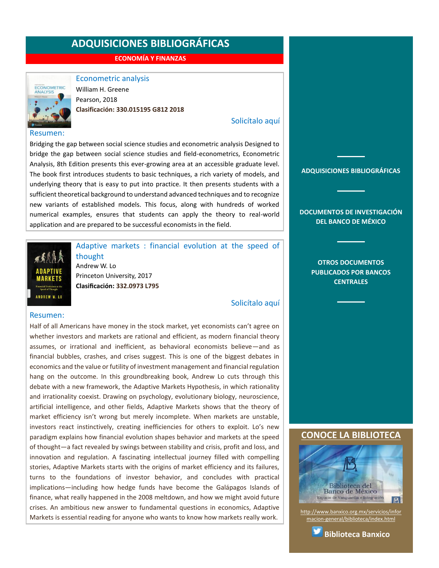**ECONOMÍA Y FINANZAS**

<span id="page-4-0"></span>

### Econometric analysis

William H. Greene Pearson, 2018 **Clasificación: 330.015195 G812 2018**

#### [Solicítalo aquí](mailto:osbib@banxico.org.mx?subject=+Solicito%20el%20siguiente%20material&body=Solicito%20en%20préstamo%20el%20siguiente%20título%20%22Econometric%20analysis%22%20con%20clasificación%20330.015195%20G812%202018)

Bridging the gap between social science studies and econometric analysis Designed to bridge the gap between social science studies and field-econometrics, Econometric Analysis, 8th Edition presents this ever-growing area at an accessible graduate level. The book first introduces students to basic techniques, a rich variety of models, and underlying theory that is easy to put into practice. It then presents students with a sufficient theoretical background to understand advanced techniques and to recognize new variants of established models. This focus, along with hundreds of worked numerical examples, ensures that students can apply the theory to real-world application and are prepared to be successful economists in the field.



### Adaptive markets : financial evolution at the speed of thought Andrew W. Lo Princeton University, 2017 **Clasificación: 332.0973 L795**

[Solicítalo aquí](mailto:osbib@banxico.org.mx?subject=+Solicito%20el%20siguiente%20material&body=Solicito%20en%20préstamo%20el%20siguiente%20título%20%22Adaptive%20markets%22%20con%20clasificación%20332.0973%20L795)

#### Resumen:

Half of all Americans have money in the stock market, yet economists can't agree on whether investors and markets are rational and efficient, as modern financial theory assumes, or irrational and inefficient, as behavioral economists believe—and as financial bubbles, crashes, and crises suggest. This is one of the biggest debates in economics and the value or futility of investment management and financial regulation hang on the outcome. In this groundbreaking book, Andrew Lo cuts through this debate with a new framework, the Adaptive Markets Hypothesis, in which rationality and irrationality coexist. Drawing on psychology, evolutionary biology, neuroscience, artificial intelligence, and other fields, Adaptive Markets shows that the theory of market efficiency isn't wrong but merely incomplete. When markets are unstable, investors react instinctively, creating inefficiencies for others to exploit. Lo's new paradigm explains how financial evolution shapes behavior and markets at the speed of thought—a fact revealed by swings between stability and crisis, profit and loss, and innovation and regulation. A fascinating intellectual journey filled with compelling stories, Adaptive Markets starts with the origins of market efficiency and its failures, turns to the foundations of investor behavior, and concludes with practical implications—including how hedge funds have become the Galápagos Islands of finance, what really happened in the 2008 meltdown, and how we might avoid future crises. An ambitious new answer to fundamental questions in economics, Adaptive Markets is essential reading for anyone who wants to know how markets really work.

**[ADQUISICIONES BIBLIOGRÁFICAS](#page-1-0)**

**[DOCUMENTOS DE INVESTIGACIÓN](#page-2-0)  [DEL BANCO DE MÉXICO](#page-2-0)**

> **[OTROS DOCUMENTOS](#page-3-0)  [PUBLICADOS POR BANCOS](#page-3-0)  [CENTRALES](#page-3-0)**

#### **[CONOCE LA BIBLIOTECA](http://www.banxico.org.mx/servicios/informacion-general/biblioteca/index.html)**



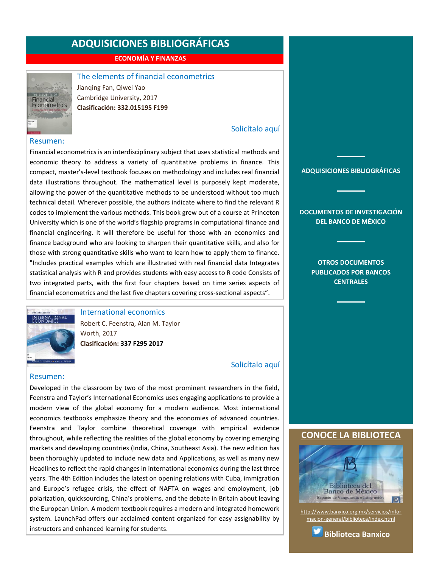**ECONOMÍA Y FINANZAS**

<span id="page-5-0"></span>

The elements of financial econometrics Jianqing Fan, Qiwei Yao

Cambridge University, 2017 **Clasificación: 332.015195 F199**

### [Solicítalo aquí](mailto:osbib@banxico.org.mx?subject=+Solicito%20el%20siguiente%20material&body=Solicito%20en%20préstamo%20el%20siguiente%20título%20%22The%20elements%20of%20financial%20econometrics%22%20con%20clasificación%20332.015195%20F199)

#### Resumen:

Financial econometrics is an interdisciplinary subject that uses statistical methods and economic theory to address a variety of quantitative problems in finance. This compact, master's-level textbook focuses on methodology and includes real financial data illustrations throughout. The mathematical level is purposely kept moderate, allowing the power of the quantitative methods to be understood without too much technical detail. Wherever possible, the authors indicate where to find the relevant R codes to implement the various methods. This book grew out of a course at Princeton University which is one of the world's flagship programs in computational finance and financial engineering. It will therefore be useful for those with an economics and finance background who are looking to sharpen their quantitative skills, and also for those with strong quantitative skills who want to learn how to apply them to finance. "Includes practical examples which are illustrated with real financial data Integrates statistical analysis with R and provides students with easy access to R code Consists of two integrated parts, with the first four chapters based on time series aspects of financial econometrics and the last five chapters covering cross-sectional aspects".



International economics

Robert C. Feenstra, Alan M. Taylor Worth, 2017 **Clasificación: 337 F295 2017**

### [Solicítalo aquí](mailto:osbib@banxico.org.mx?subject=+Solicito%20el%20siguiente%20material&body=Solicito%20en%20préstamo%20el%20siguiente%20título%20%22International%20economics%22%20con%20clasificación%20337%20F295%202017)

#### Resumen:

Developed in the classroom by two of the most prominent researchers in the field, Feenstra and Taylor's International Economics uses engaging applications to provide a modern view of the global economy for a modern audience. Most international economics textbooks emphasize theory and the economies of advanced countries. Feenstra and Taylor combine theoretical coverage with empirical evidence throughout, while reflecting the realities of the global economy by covering emerging markets and developing countries (India, China, Southeast Asia). The new edition has been thoroughly updated to include new data and Applications, as well as many new Headlines to reflect the rapid changes in international economics during the last three years. The 4th Edition includes the latest on opening relations with Cuba, immigration and Europe's refugee crisis, the effect of NAFTA on wages and employment, job polarization, quicksourcing, China's problems, and the debate in Britain about leaving the European Union. A modern textbook requires a modern and integrated homework system. LaunchPad offers our acclaimed content organized for easy assignability by instructors and enhanced learning for students.

**[ADQUISICIONES BIBLIOGRÁFICAS](#page-1-0)**

**[DOCUMENTOS DE INVESTIGACIÓN](#page-2-0)  [DEL BANCO DE MÉXICO](#page-2-0)**

> **[OTROS DOCUMENTOS](#page-3-0)  [PUBLICADOS POR BANCOS](#page-3-0)  [CENTRALES](#page-3-0)**

#### **[CONOCE LA BIBLIOTECA](http://www.banxico.org.mx/servicios/informacion-general/biblioteca/index.html)**



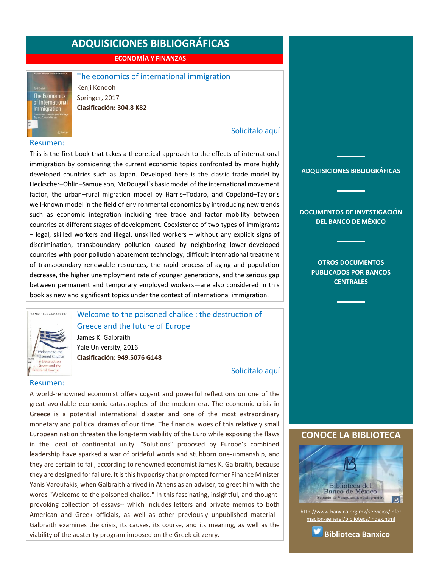**ECONOMÍA Y FINANZAS**

#### The economics of international immigration

Kenji Kondoh Springer, 2017 **Clasificación: 304.8 K82**

#### [Solicítalo aquí](mailto:osbib@banxico.org.mx?subject=+Solicito%20el%20siguiente%20material&body=Solicito%20en%20préstamo%20el%20siguiente%20título%20%22The%20economics%20of%20international%20immigration%22%20con%20clasificación%20304.8%20K82)

#### Resumen:

<span id="page-6-0"></span>**The Economics** of Internationa<br>Immigration

This is the first book that takes a theoretical approach to the effects of international immigration by considering the current economic topics confronted by more highly developed countries such as Japan. Developed here is the classic trade model by Heckscher–Ohlin–Samuelson, McDougall's basic model of the international movement factor, the urban–rural migration model by Harris–Todaro, and Copeland–Taylor's well-known model in the field of environmental economics by introducing new trends such as economic integration including free trade and factor mobility between countries at different stages of development. Coexistence of two types of immigrants – legal, skilled workers and illegal, unskilled workers – without any explicit signs of discrimination, transboundary pollution caused by neighboring lower-developed countries with poor pollution abatement technology, difficult international treatment of transboundary renewable resources, the rapid process of aging and population decrease, the higher unemployment rate of younger generations, and the serious gap between permanent and temporary employed workers―are also considered in this book as new and significant topics under the context of international immigration.

# Welcome to the poisoned chalice : the destruction of Greece and the future of Europe

James K. Galbraith Yale University, 2016 **Clasificación: 949.5076 G148**

[Solicítalo aquí](mailto:osbib@banxico.org.mx?subject=+Solicito%20el%20siguiente%20material&body=Solicito%20en%20préstamo%20el%20siguiente%20título%20%22Welcome%20to%20the%20poisoned%20chalice%22%20con%20clasificación%20949.5076%20G148)

#### Resumen:

 $W_0$  come to the pisoned Chalice e Destruction of Greece and the<br>Future of Europe

JAMES K. GALBRAITH

A world-renowned economist offers cogent and powerful reflections on one of the great avoidable economic catastrophes of the modern era. The economic crisis in Greece is a potential international disaster and one of the most extraordinary monetary and political dramas of our time. The financial woes of this relatively small European nation threaten the long-term viability of the Euro while exposing the flaws in the ideal of continental unity. "Solutions" proposed by Europe's combined leadership have sparked a war of prideful words and stubborn one-upmanship, and they are certain to fail, according to renowned economist James K. Galbraith, because they are designed for failure. It is this hypocrisy that prompted former Finance Minister Yanis Varoufakis, when Galbraith arrived in Athens as an adviser, to greet him with the words "Welcome to the poisoned chalice." In this fascinating, insightful, and thoughtprovoking collection of essays-- which includes letters and private memos to both American and Greek officials, as well as other previously unpublished material-- Galbraith examines the crisis, its causes, its course, and its meaning, as well as the viability of the austerity program imposed on the Greek citizenry.

#### **[ADQUISICIONES BIBLIOGRÁFICAS](#page-1-0)**

#### **[DOCUMENTOS DE INVESTIGACIÓN](#page-2-0)  [DEL BANCO DE MÉXICO](#page-2-0)**

**[OTROS DOCUMENTOS](#page-3-0)  [PUBLICADOS POR BANCOS](#page-3-0)  [CENTRALES](#page-3-0)**

#### **[CONOCE LA BIBLIOTECA](http://www.banxico.org.mx/servicios/informacion-general/biblioteca/index.html)**



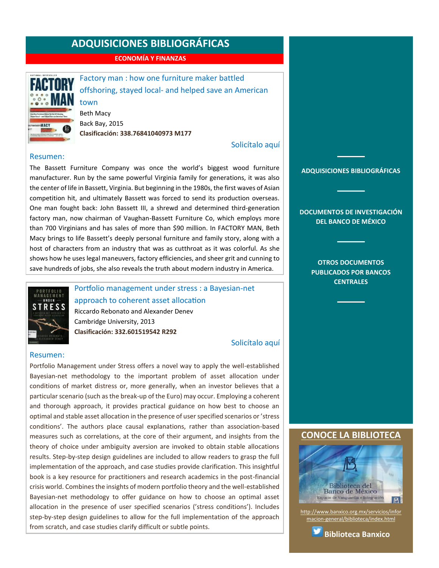**ECONOMÍA Y FINANZAS**

<span id="page-7-0"></span>

Factory man : how one furniture maker battled offshoring, stayed local- and helped save an American town

Beth Macy Back Bay, 2015 **Clasificación: 338.76841040973 M177**

#### [Solicítalo aquí](mailto:osbib@banxico.org.mx?subject=+Solicito%20el%20siguiente%20material&body=Solicito%20en%20préstamo%20el%20siguiente%20título%20%22Factory%20man%22%20con%20clasificación%20338.76841040973%20M177)

#### Resumen:

The Bassett Furniture Company was once the world's biggest wood furniture manufacturer. Run by the same powerful Virginia family for generations, it was also the center of life in Bassett, Virginia. But beginning in the 1980s, the first waves of Asian competition hit, and ultimately Bassett was forced to send its production overseas. One man fought back: John Bassett III, a shrewd and determined third-generation factory man, now chairman of Vaughan-Bassett Furniture Co, which employs more than 700 Virginians and has sales of more than \$90 million. In FACTORY MAN, Beth Macy brings to life Bassett's deeply personal furniture and family story, along with a host of characters from an industry that was as cutthroat as it was colorful. As she shows how he uses legal maneuvers, factory efficiencies, and sheer grit and cunning to save hundreds of jobs, she also reveals the truth about modern industry in America.



Portfolio management under stress : a Bayesian-net approach to coherent asset allocation Riccardo Rebonato and Alexander Denev Cambridge University, 2013 **Clasificación: 332.601519542 R292**

[Solicítalo aquí](mailto:osbib@banxico.org.mx?subject=+Solicito%20el%20siguiente%20material&body=Solicito%20en%20préstamo%20el%20siguiente%20título%20%22Portfolio%20management%20under%20stress%22%20con%20clasificación%20332.601519542%20R292)

#### Resumen:

Portfolio Management under Stress offers a novel way to apply the well-established Bayesian-net methodology to the important problem of asset allocation under conditions of market distress or, more generally, when an investor believes that a particular scenario (such as the break-up of the Euro) may occur. Employing a coherent and thorough approach, it provides practical guidance on how best to choose an optimal and stable asset allocation in the presence of user specified scenarios or 'stress conditions'. The authors place causal explanations, rather than association-based measures such as correlations, at the core of their argument, and insights from the theory of choice under ambiguity aversion are invoked to obtain stable allocations results. Step-by-step design guidelines are included to allow readers to grasp the full implementation of the approach, and case studies provide clarification. This insightful book is a key resource for practitioners and research academics in the post-financial crisis world. Combines the insights of modern portfolio theory and the well-established Bayesian-net methodology to offer guidance on how to choose an optimal asset allocation in the presence of user specified scenarios ('stress conditions'). Includes step-by-step design guidelines to allow for the full implementation of the approach from scratch, and case studies clarify difficult or subtle points.

### **[ADQUISICIONES BIBLIOGRÁFICAS](#page-1-0)**

**[DOCUMENTOS DE INVESTIGACIÓN](#page-2-0)  [DEL BANCO DE MÉXICO](#page-2-0)**

> **[OTROS DOCUMENTOS](#page-3-0)  [PUBLICADOS POR BANCOS](#page-3-0)  [CENTRALES](#page-3-0)**

#### **[CONOCE LA BIBLIOTECA](http://www.banxico.org.mx/servicios/informacion-general/biblioteca/index.html)**



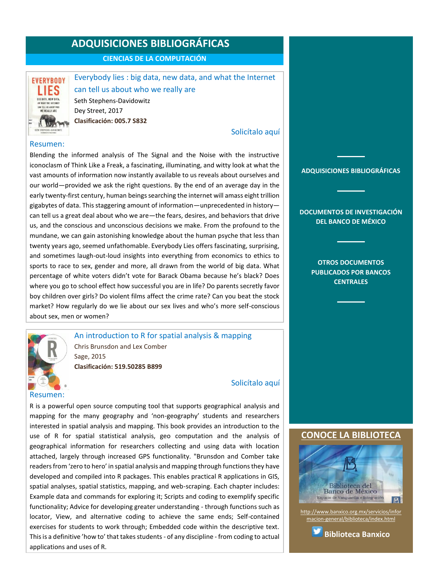**CIENCIAS DE LA COMPUTACIÓN**

<span id="page-8-0"></span>

Everybody lies : big data, new data, and what the Internet can tell us about who we really are Seth Stephens-Davidowitz Dey Street, 2017 **Clasificación: 005.7 S832**

### [Solicítalo aquí](mailto:osbib@banxico.org.mx?subject=+Solicito%20el%20siguiente%20material&body=Solicito%20en%20préstamo%20el%20siguiente%20título%20%22Everybody%20lies%22%20con%20clasificación%20005.7%20S832)

#### Resumen:

Blending the informed analysis of The Signal and the Noise with the instructive iconoclasm of Think Like a Freak, a fascinating, illuminating, and witty look at what the vast amounts of information now instantly available to us reveals about ourselves and our world—provided we ask the right questions. By the end of an average day in the early twenty-first century, human beings searching the internet will amass eight trillion gigabytes of data. This staggering amount of information—unprecedented in history can tell us a great deal about who we are—the fears, desires, and behaviors that drive us, and the conscious and unconscious decisions we make. From the profound to the mundane, we can gain astonishing knowledge about the human psyche that less than twenty years ago, seemed unfathomable. Everybody Lies offers fascinating, surprising, and sometimes laugh-out-loud insights into everything from economics to ethics to sports to race to sex, gender and more, all drawn from the world of big data. What percentage of white voters didn't vote for Barack Obama because he's black? Does where you go to school effect how successful you are in life? Do parents secretly favor boy children over girls? Do violent films affect the crime rate? Can you beat the stock market? How regularly do we lie about our sex lives and who's more self-conscious about sex, men or women?



An introduction to R for spatial analysis & mapping Chris Brunsdon and Lex Comber Sage, 2015 **Clasificación: 519.50285 B899**

# Resumen:

[Solicítalo aquí](mailto:osbib@banxico.org.mx?subject=+Solicito%20el%20siguiente%20material&body=Solicito%20en%20préstamo%20el%20siguiente%20título%20%22An%20introduction%20to%20R%20for%20spatial%20analysis%22%20con%20clasificación%20519.50285%20B899)

R is a powerful open source computing tool that supports geographical analysis and mapping for the many geography and 'non-geography' students and researchers interested in spatial analysis and mapping. This book provides an introduction to the use of R for spatial statistical analysis, geo computation and the analysis of geographical information for researchers collecting and using data with location attached, largely through increased GPS functionality. "Brunsdon and Comber take readers from 'zero to hero' in spatial analysis and mapping through functions they have developed and compiled into R packages. This enables practical R applications in GIS, spatial analyses, spatial statistics, mapping, and web-scraping. Each chapter includes: Example data and commands for exploring it; Scripts and coding to exemplify specific functionality; Advice for developing greater understanding - through functions such as locator, View, and alternative coding to achieve the same ends; Self-contained exercises for students to work through; Embedded code within the descriptive text. This is a definitive 'how to' that takes students - of any discipline - from coding to actual applications and uses of R.

# **[ADQUISICIONES BIBLIOGRÁFICAS](#page-1-0)**

**[DOCUMENTOS DE INVESTIGACIÓN](#page-2-0)  [DEL BANCO DE MÉXICO](#page-2-0)**

> **[OTROS DOCUMENTOS](#page-3-0)  [PUBLICADOS POR BANCOS](#page-3-0)  [CENTRALES](#page-3-0)**

### **[CONOCE LA BIBLIOTECA](http://www.banxico.org.mx/servicios/informacion-general/biblioteca/index.html)**



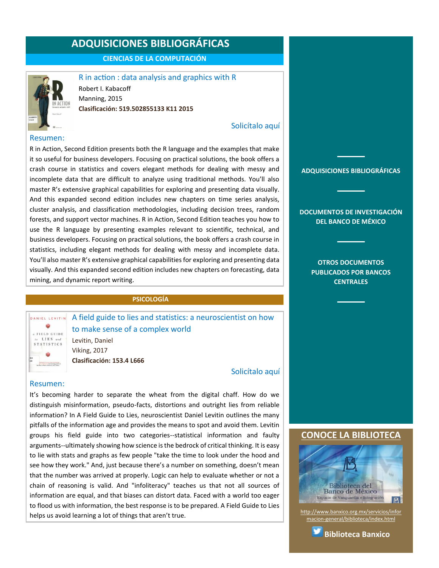**CIENCIAS DE LA COMPUTACIÓN**

<span id="page-9-0"></span>

R in action : data analysis and graphics with R Robert I. Kabacoff Manning, 2015 **Clasificación: 519.502855133 K11 2015**

### [Solicítalo aquí](mailto:osbib@banxico.org.mx?subject=+Solicito%20el%20siguiente%20material&body=Solicito%20en%20préstamo%20el%20siguiente%20título%20%22R%20in%20action%22%20con%20clasificación%20519.502855133%20K11%202015)

#### Resumen:

R in Action, Second Edition presents both the R language and the examples that make it so useful for business developers. Focusing on practical solutions, the book offers a crash course in statistics and covers elegant methods for dealing with messy and incomplete data that are difficult to analyze using traditional methods. You'll also master R's extensive graphical capabilities for exploring and presenting data visually. And this expanded second edition includes new chapters on time series analysis, cluster analysis, and classification methodologies, including decision trees, random forests, and support vector machines. R in Action, Second Edition teaches you how to use the R language by presenting examples relevant to scientific, technical, and business developers. Focusing on practical solutions, the book offers a crash course in statistics, including elegant methods for dealing with messy and incomplete data. You'll also master R's extensive graphical capabilities for exploring and presenting data visually. And this expanded second edition includes new chapters on forecasting, data mining, and dynamic report writing.

#### **PSICOLOGÍA**

DANIEL LEVITIN a FIELD GUIDE to LIES and **STATISTICS** and the first party of the control of

A field guide to lies and statistics: a neuroscientist on how to make sense of a complex world

Levitin, Daniel Viking, 2017 **Clasificación: 153.4 L666**

#### [Solicítalo aquí](mailto:osbib@banxico.org.mx?subject=+Solicito%20el%20siguiente%20material&body=Solicito%20en%20préstamo%20el%20siguiente%20título%20%22A%20field%20guide%20to%20lies%20and%20statistics%22%20con%20clasificación%20153.4%20L666)

#### Resumen:

It's becoming harder to separate the wheat from the digital chaff. How do we distinguish misinformation, pseudo-facts, distortions and outright lies from reliable information? In A Field Guide to Lies, neuroscientist Daniel Levitin outlines the many pitfalls of the information age and provides the means to spot and avoid them. Levitin groups his field guide into two categories--statistical information and faulty arguments--ultimately showing how science is the bedrock of critical thinking. It is easy to lie with stats and graphs as few people "take the time to look under the hood and see how they work." And, just because there's a number on something, doesn't mean that the number was arrived at properly. Logic can help to evaluate whether or not a chain of reasoning is valid. And "infoliteracy" teaches us that not all sources of information are equal, and that biases can distort data. Faced with a world too eager to flood us with information, the best response is to be prepared. A Field Guide to Lies helps us avoid learning a lot of things that aren't true.



[http://www.banxico.org.mx/servicios/infor](http://www.banxico.org.mx/servicios/informacion-general/biblioteca/index.html) [macion-general/biblioteca/index.html](http://www.banxico.org.mx/servicios/informacion-general/biblioteca/index.html)

Espacio de Vanguardia e Integración

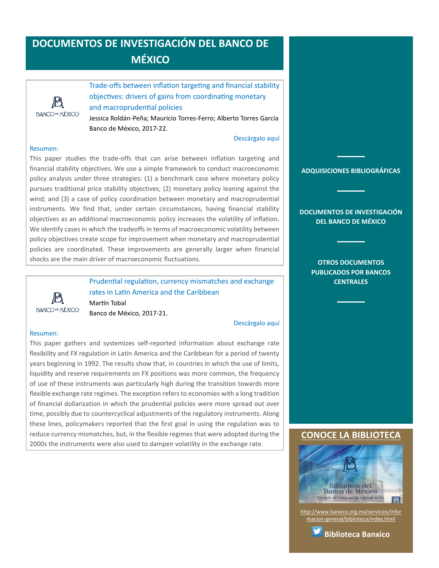# <span id="page-10-0"></span>**DOCUMENTOS DE INVESTIGACIÓN DEL BANCO DE MÉXICO**



Trade-offs between inflation targeting and financial stability objectives: drivers of gains from coordinating monetary and macroprudential policies Jessica Roldán-Peña; Mauricio Torres-Ferro; Alberto Torres García

Banco de México, 2017-22.

#### [Descárgalo aquí](http://www.banxico.org.mx/publicaciones-y-discursos/publicaciones/documentos-de-investigacion/banxico/%7BCEB3C699-AB84-7076-A1B1-30E43B5477CE%7D.pdf)

#### Resumen:

This paper studies the trade-offs that can arise between inflation targeting and financial stability objectives. We use a simple framework to conduct macroeconomic policy analysis under three strategies: (1) a benchmark case where monetary policy pursues traditional price stability objectives; (2) monetary policy leaning against the wind; and (3) a case of policy coordination between monetary and macroprudential instruments. We find that, under certain circumstances, having financial stability objectives as an additional macroeconomic policy increases the volatility of inflation. We identify cases in which the tradeoffs in terms of macroeconomic volatility between policy objectives create scope for improvement when monetary and macroprudential policies are coordinated. These improvements are generally larger when financial shocks are the main driver of macroeconomic fluctuations.



Prudential regulation, currency mismatches and exchange rates in Latin America and the Caribbean Martín Tobal Banco de México, 2017-21.

#### [Descárgalo aquí](http://www.banxico.org.mx/publicaciones-y-discursos/publicaciones/documentos-de-investigacion/banxico/%7BDC0C3975-D05B-A5AF-91FA-60CD9B56961A%7D.pdf)

#### Resumen:

This paper gathers and systemizes self-reported information about exchange rate flexibility and FX regulation in Latin America and the Caribbean for a period of twenty years beginning in 1992. The results show that, in countries in which the use of limits, liquidity and reserve requirements on FX positions was more common, the frequency of use of these instruments was particularly high during the transition towards more flexible exchange rate regimes. The exception refers to economies with a long tradition of financial dollarization in which the prudential policies were more spread out over time, possibly due to countercyclical adjustments of the regulatory instruments. Along these lines, policymakers reported that the first goal in using the regulation was to reduce currency mismatches, but, in the flexible regimes that were adopted during the 2000s the instruments were also used to dampen volatility in the exchange rate.

#### **[ADQUISICIONES BIBLIOGRÁFICAS](#page-1-0)**

**[DOCUMENTOS DE INVESTIGACIÓN](#page-2-0)  [DEL BANCO DE MÉXICO](#page-2-0)**

> **[OTROS DOCUMENTOS](#page-3-0)  [PUBLICADOS POR BANCOS](#page-3-0)  [CENTRALES](#page-3-0)**

#### **[CONOCE LA BIBLIOTECA](http://www.banxico.org.mx/servicios/informacion-general/biblioteca/index.html)**



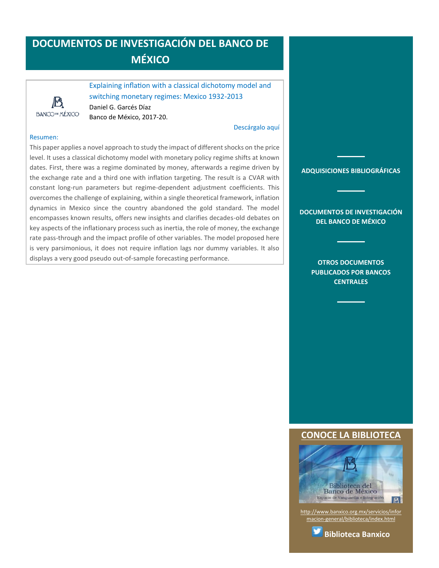# <span id="page-11-0"></span>**DOCUMENTOS DE INVESTIGACIÓN DEL BANCO DE MÉXICO**



Explaining inflation with a classical dichotomy model and switching monetary regimes: Mexico 1932-2013 Daniel G. Garcés Díaz Banco de México, 2017-20.

#### [Descárgalo aquí](http://www.banxico.org.mx/publicaciones-y-discursos/publicaciones/documentos-de-investigacion/banxico/%7B6A7DCFAC-C12C-DC16-8949-BC3A450A741D%7D.pdf)

#### Resumen:

This paper applies a novel approach to study the impact of different shocks on the price level. It uses a classical dichotomy model with monetary policy regime shifts at known dates. First, there was a regime dominated by money, afterwards a regime driven by the exchange rate and a third one with inflation targeting. The result is a CVAR with constant long-run parameters but regime-dependent adjustment coefficients. This overcomes the challenge of explaining, within a single theoretical framework, inflation dynamics in Mexico since the country abandoned the gold standard. The model encompasses known results, offers new insights and clarifies decades-old debates on key aspects of the inflationary process such as inertia, the role of money, the exchange rate pass-through and the impact profile of other variables. The model proposed here is very parsimonious, it does not require inflation lags nor dummy variables. It also displays a very good pseudo out-of-sample forecasting performance.

**[ADQUISICIONES BIBLIOGRÁFICAS](#page-1-0)**

**[DOCUMENTOS DE INVESTIGACIÓN](#page-2-0)  [DEL BANCO DE MÉXICO](#page-2-0)**

> **[OTROS DOCUMENTOS](#page-3-0)  [PUBLICADOS POR BANCOS](#page-3-0)  [CENTRALES](#page-3-0)**

#### **[CONOCE LA BIBLIOTECA](http://www.banxico.org.mx/servicios/informacion-general/biblioteca/index.html)**



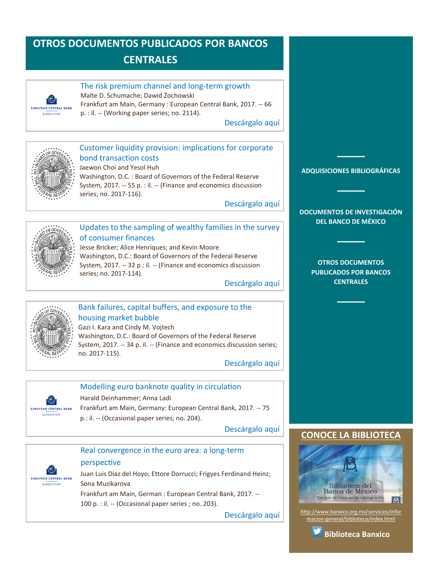# <span id="page-12-0"></span>**OTROS DOCUMENTOS PUBLICADOS POR BANCOS CENTRALES**



#### The risk premium channel and long-term growth

Malte D. Schumache; Dawid Żochowski

Frankfurt am Main, Germany : European Central Bank, 2017. -- 66 p. : il. -- (Working paper series; no. 2114).

[Descárgalo aquí](https://www.ecb.europa.eu/pub/pdf/scpwps/ecb.wp2114.en.pdf)



### Customer liquidity provision: implications for corporate bond transaction costs

Jaewon Choi and Yesol Huh Washington, D.C. : Board of Governors of the Federal Reserve System, 2017. -- 55 p. : il. -- (Finance and economics discussion series; no. 2017-116).

[Descárgalo aquí](https://www.federalreserve.gov/econres/feds/files/2017116pap.pdf)



# Updates to the sampling of wealthy families in the survey of consumer finances

Jesse Bricker; Alice Henriques; and Kevin Moore Washington, D.C.: Board of Governors of the Federal Reserve System, 2017. -- 32 p : il. -- (Finance and economics discussion series; no. 2017-114).

[Descárgalo aquí](https://www.federalreserve.gov/econres/feds/files/2017114pap.pdf)



# Bank failures, capital buffers, and exposure to the housing market bubble Gazi I. Kara and Cindy M. Vojtech Washington, D.C.: Board of Governors of the Federal Reserve

System, 2017. -- 34 p. il. -- (Finance and economics discussion series; no. 2017-115).

[Descárgalo aquí](https://www.federalreserve.gov/econres/feds/files/2017115pap.pdf)



# Modelling euro banknote quality in circulation

Harald Deinhammer; Anna Ladi

Frankfurt am Main, Germany: European Central Bank, 2017. -- 75 p.: il. -- (Occasional paper series; no. 204).

[Descárgalo aquí](https://www.ecb.europa.eu/pub/pdf/scpops/ecb.op204.en.pdf)





# perspective

Juan Luis Diaz del Hoyo; Ettore Dorrucci; Frigyes Ferdinand Heinz; Sona Muzikarova

Frankfurt am Main, German : European Central Bank, 2017. --

100 p. : il. -- (Occasional paper series ; no. 203).

[Descárgalo aquí](https://www.ecb.europa.eu/pub/pdf/scpops/ecb.op203.en.pdf)



**[DOCUMENTOS DE INVESTIGACIÓN](#page-2-0)  [DEL BANCO DE MÉXICO](#page-2-0)**

> **[OTROS DOCUMENTOS](#page-3-0)  [PUBLICADOS POR BANCOS](#page-3-0)  [CENTRALES](#page-3-0)**

# **[CONOCE LA BIBLIOTECA](http://www.banxico.org.mx/servicios/informacion-general/biblioteca/index.html)**



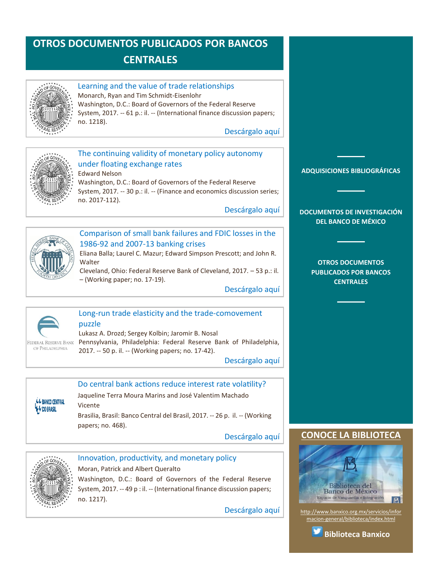# <span id="page-13-0"></span>**OTROS DOCUMENTOS PUBLICADOS POR BANCOS CENTRALES**



#### Learning and the value of trade relationships Monarch, Ryan and Tim Schmidt-Eisenlohr

Washington, D.C.: Board of Governors of the Federal Reserve System, 2017. -- 61 p.: il. -- (International finance discussion papers; no. 1218).

[Descárgalo aquí](https://www.federalreserve.gov/econres/ifdp/files/ifdp1218.pdf)



#### The continuing validity of monetary policy autonomy under floating exchange rates Edward Nelson

Washington, D.C.: Board of Governors of the Federal Reserve System, 2017. -- 30 p.: il. -- (Finance and economics discussion series; no. 2017-112).

[Descárgalo aquí](https://www.federalreserve.gov/econres/feds/files/2017112pap.pdf)



# Comparison of small bank failures and FDIC losses in the 1986-92 and 2007-13 banking crises

Eliana Balla; Laurel C. Mazur; Edward Simpson Prescott; and John R. **Walter** 

Cleveland, Ohio: Federal Reserve Bank of Cleveland, 2017. – 53 p.: il. – (Working paper; no. 17-19).

[Descárgalo aquí](https://www.clevelandfed.org/en/newsroom-and-events/publications/working-papers/2017-working-papers/wp-1719-comparison-of-small-bank-failures.aspx)



### Long-run trade elasticity and the trade-comovement puzzle

Lukasz A. Drozd; Sergey Kolbin; Jaromir B. Nosal Pennsylvania, Philadelphia: Federal Reserve Bank of Philadelphia, 2017. -- 50 p. il. -- (Working papers; no. 17-42).

[Descárgalo aquí](https://www.philadelphiafed.org/-/media/research-and-data/publications/working-papers/2017/wp17-42.pdf?utm_campaign=WorkingPapers=2017/11/21=E-mail)

### **LL BANCO CENTRAL V** DO BRASIL

Jaqueline Terra Moura Marins and José Valentim Machado Vicente

Do central bank actions reduce interest rate volatility?

Brasilia, Brasil: Banco Central del Brasil, 2017. -- 26 p. il. -- (Working papers; no. 468).

[Descárgalo aquí](http://www.bcb.gov.br/pec/wps/ingl/wps468.pdf)



# Innovation, productivity, and monetary policy

Moran, Patrick and Albert Queralto Washington, D.C.: Board of Governors of the Federal Reserve System, 2017. -- 49 p : il. -- (International finance discussion papers; no. 1217).

[Descárgalo aquí](https://www.federalreserve.gov/econres/ifdp/files/ifdp1217.pdf)



**[DOCUMENTOS DE INVESTIGACIÓN](#page-2-0)  [DEL BANCO DE MÉXICO](#page-2-0)**

> **[OTROS DOCUMENTOS](#page-3-0)  [PUBLICADOS POR BANCOS](#page-3-0)  [CENTRALES](#page-3-0)**

# **CONOCE LA BIBLIOTEC**